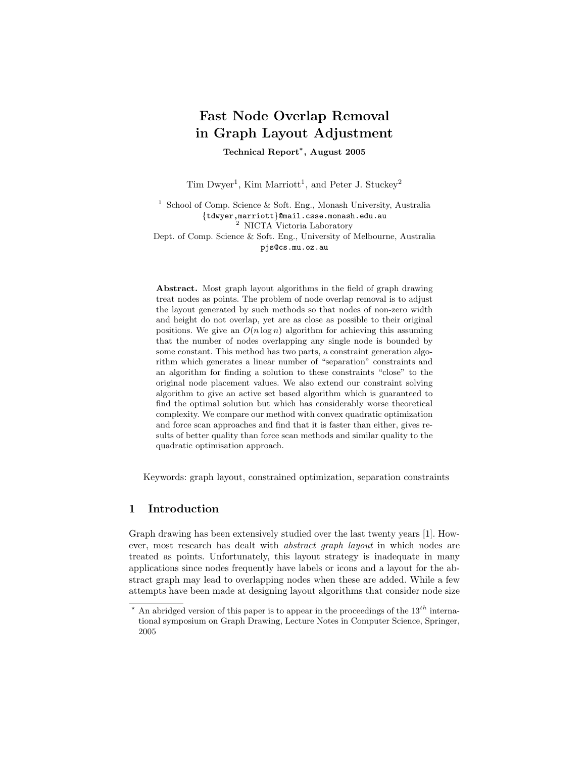# Fast Node Overlap Removal in Graph Layout Adjustment

Technical Report<sup>∗</sup> , August 2005

Tim Dwyer<sup>1</sup>, Kim Marriott<sup>1</sup>, and Peter J. Stuckey<sup>2</sup>

<sup>1</sup> School of Comp. Science & Soft. Eng., Monash University, Australia {tdwyer,marriott}@mail.csse.monash.edu.au <sup>2</sup> NICTA Victoria Laboratory Dept. of Comp. Science & Soft. Eng., University of Melbourne, Australia

pjs@cs.mu.oz.au

Abstract. Most graph layout algorithms in the field of graph drawing treat nodes as points. The problem of node overlap removal is to adjust the layout generated by such methods so that nodes of non-zero width and height do not overlap, yet are as close as possible to their original positions. We give an  $O(n \log n)$  algorithm for achieving this assuming that the number of nodes overlapping any single node is bounded by some constant. This method has two parts, a constraint generation algorithm which generates a linear number of "separation" constraints and an algorithm for finding a solution to these constraints "close" to the original node placement values. We also extend our constraint solving algorithm to give an active set based algorithm which is guaranteed to find the optimal solution but which has considerably worse theoretical complexity. We compare our method with convex quadratic optimization and force scan approaches and find that it is faster than either, gives results of better quality than force scan methods and similar quality to the quadratic optimisation approach.

Keywords: graph layout, constrained optimization, separation constraints

# 1 Introduction

Graph drawing has been extensively studied over the last twenty years [1]. However, most research has dealt with abstract graph layout in which nodes are treated as points. Unfortunately, this layout strategy is inadequate in many applications since nodes frequently have labels or icons and a layout for the abstract graph may lead to overlapping nodes when these are added. While a few attempts have been made at designing layout algorithms that consider node size

An abridged version of this paper is to appear in the proceedings of the  $13^{th}$  international symposium on Graph Drawing, Lecture Notes in Computer Science, Springer, 2005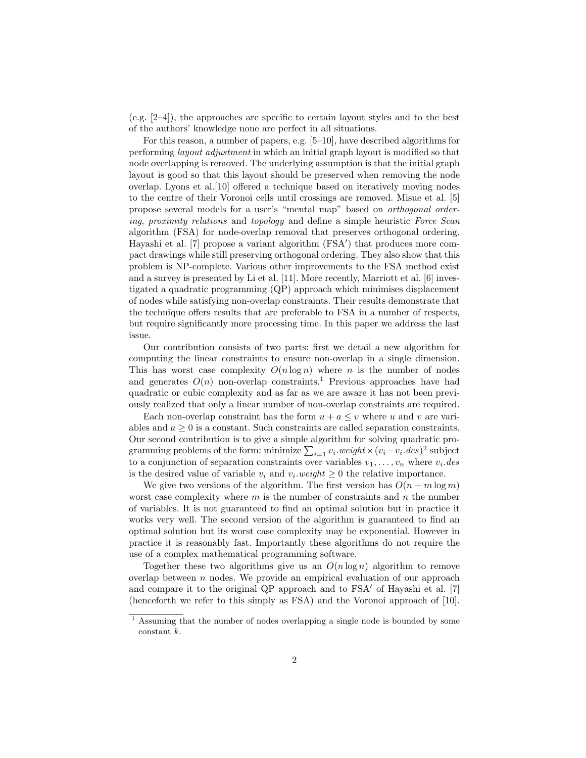$(e.g. [2-4])$ , the approaches are specific to certain layout styles and to the best of the authors' knowledge none are perfect in all situations.

For this reason, a number of papers, e.g. [5–10], have described algorithms for performing layout adjustment in which an initial graph layout is modified so that node overlapping is removed. The underlying assumption is that the initial graph layout is good so that this layout should be preserved when removing the node overlap. Lyons et al.[10] offered a technique based on iteratively moving nodes to the centre of their Voronoi cells until crossings are removed. Misue et al. [5] propose several models for a user's "mental map" based on orthogonal ordering, proximity relations and topology and define a simple heuristic Force Scan algorithm (FSA) for node-overlap removal that preserves orthogonal ordering. Hayashi et al. [7] propose a variant algorithm (FSA') that produces more compact drawings while still preserving orthogonal ordering. They also show that this problem is NP-complete. Various other improvements to the FSA method exist and a survey is presented by Li et al. [11]. More recently, Marriott et al. [6] investigated a quadratic programming (QP) approach which minimises displacement of nodes while satisfying non-overlap constraints. Their results demonstrate that the technique offers results that are preferable to FSA in a number of respects, but require significantly more processing time. In this paper we address the last issue.

Our contribution consists of two parts: first we detail a new algorithm for computing the linear constraints to ensure non-overlap in a single dimension. This has worst case complexity  $O(n \log n)$  where n is the number of nodes and generates  $O(n)$  non-overlap constraints.<sup>1</sup> Previous approaches have had quadratic or cubic complexity and as far as we are aware it has not been previously realized that only a linear number of non-overlap constraints are required.

Each non-overlap constraint has the form  $u + a \leq v$  where u and v are variables and  $a \geq 0$  is a constant. Such constraints are called separation constraints. Our second contribution is to give a simple algorithm for solving quadratic programming problems of the form: minimize  $\sum_{i=1} v_i \cdot weight \times (v_i - v_i \cdot des)^2$  subject to a conjunction of separation constraints over variables  $v_1, \ldots, v_n$  where  $v_i$  des is the desired value of variable  $v_i$  and  $v_i$  weight  $\geq 0$  the relative importance.

We give two versions of the algorithm. The first version has  $O(n + m \log m)$ worst case complexity where  $m$  is the number of constraints and  $n$  the number of variables. It is not guaranteed to find an optimal solution but in practice it works very well. The second version of the algorithm is guaranteed to find an optimal solution but its worst case complexity may be exponential. However in practice it is reasonably fast. Importantly these algorithms do not require the use of a complex mathematical programming software.

Together these two algorithms give us an  $O(n \log n)$  algorithm to remove overlap between  $n$  nodes. We provide an empirical evaluation of our approach and compare it to the original QP approach and to  $\text{FSA}'$  of Hayashi et al. [7] (henceforth we refer to this simply as FSA) and the Voronoi approach of [10].

<sup>1</sup> Assuming that the number of nodes overlapping a single node is bounded by some constant k.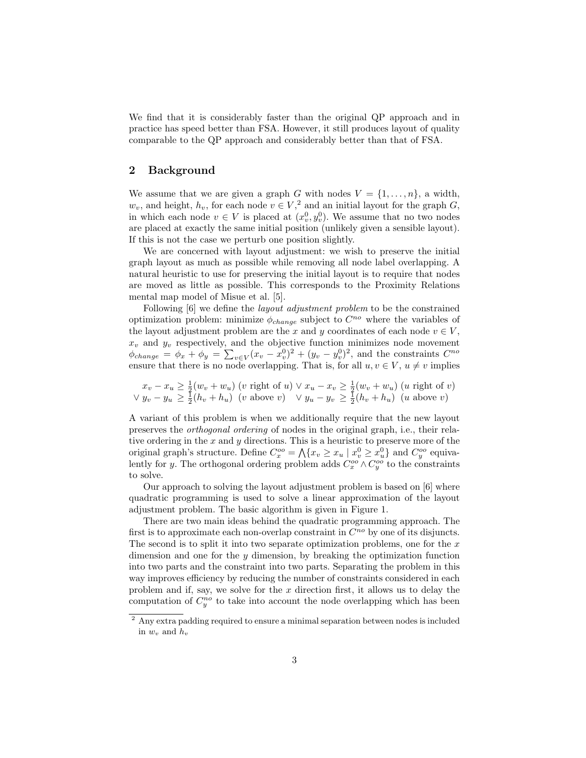We find that it is considerably faster than the original QP approach and in practice has speed better than FSA. However, it still produces layout of quality comparable to the QP approach and considerably better than that of FSA.

## 2 Background

We assume that we are given a graph G with nodes  $V = \{1, \ldots, n\}$ , a width,  $w_v$ , and height,  $h_v$ , for each node  $v \in V$ ,<sup>2</sup> and an initial layout for the graph G, in which each node  $v \in V$  is placed at  $(x_v^0, y_v^0)$ . We assume that no two nodes are placed at exactly the same initial position (unlikely given a sensible layout). If this is not the case we perturb one position slightly.

We are concerned with layout adjustment: we wish to preserve the initial graph layout as much as possible while removing all node label overlapping. A natural heuristic to use for preserving the initial layout is to require that nodes are moved as little as possible. This corresponds to the Proximity Relations mental map model of Misue et al. [5].

Following [6] we define the *layout adjustment problem* to be the constrained optimization problem: minimize  $\phi_{change}$  subject to  $C^{no}$  where the variables of the layout adjustment problem are the x and y coordinates of each node  $v \in V$ ,  $x_v$  and  $y_v$  respectively, and the objective function minimizes node movement  $\phi_{change} = \phi_x + \phi_y = \sum_{v \in V} (x_v - x_v^0)^2 + (y_v - y_v^0)^2$ , and the constraints  $C^{no}$ ensure that there is no node overlapping. That is, for all  $u, v \in V$ ,  $u \neq v$  implies

$$
x_v - x_u \ge \frac{1}{2}(w_v + w_u) \text{ (}v \text{ right of } u \text{)} \lor x_u - x_v \ge \frac{1}{2}(w_v + w_u) \text{ (}u \text{ right of } v \text{)}
$$
  

$$
\lor y_v - y_u \ge \frac{1}{2}(h_v + h_u) \text{ (}v \text{ above } v \text{)} \quad \lor y_u - y_v \ge \frac{1}{2}(h_v + h_u) \text{ (}u \text{ above } v \text{)}
$$

A variant of this problem is when we additionally require that the new layout preserves the orthogonal ordering of nodes in the original graph, i.e., their relative ordering in the  $x$  and  $y$  directions. This is a heuristic to preserve more of the original graph's structure. Define  $C_x^{\circ o} = \bigwedge \{x_v \ge x_u \mid x_v^0 \ge x_u^0\}$  and  $C_y^{\circ o}$  equivalently for y. The orthogonal ordering problem adds  $C_x^{\text{oo}} \wedge C_y^{\text{oo}}$  to the constraints to solve.

Our approach to solving the layout adjustment problem is based on [6] where quadratic programming is used to solve a linear approximation of the layout adjustment problem. The basic algorithm is given in Figure 1.

There are two main ideas behind the quadratic programming approach. The first is to approximate each non-overlap constraint in  $C^{no}$  by one of its disjuncts. The second is to split it into two separate optimization problems, one for the  $x$ dimension and one for the y dimension, by breaking the optimization function into two parts and the constraint into two parts. Separating the problem in this way improves efficiency by reducing the number of constraints considered in each problem and if, say, we solve for the  $x$  direction first, it allows us to delay the computation of  $C_y^{no}$  to take into account the node overlapping which has been

<sup>2</sup> Any extra padding required to ensure a minimal separation between nodes is included in  $w_v$  and  $h_v$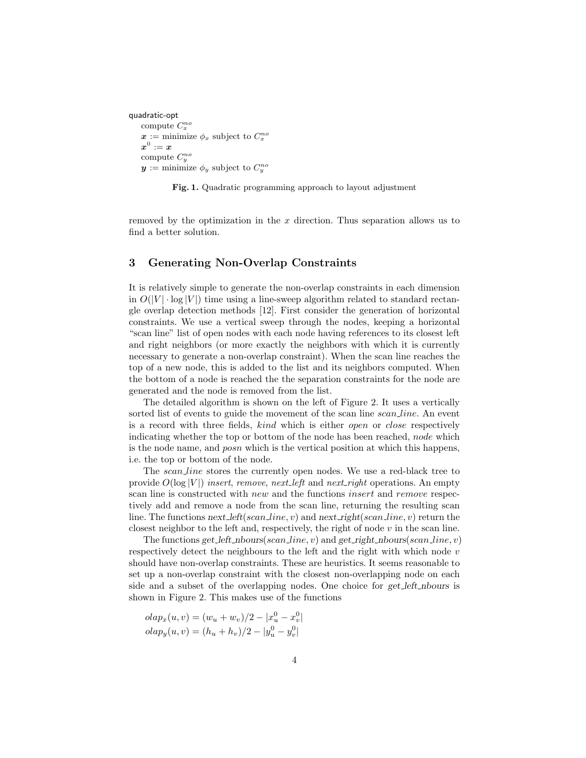```
quadratic-opt
compute C_x^{no}\boldsymbol{x} := \text{minimize } \phi_x \text{ subject to } C_x^{no}\boldsymbol{x}^{0}:=\boldsymbol{x}compute C_y^{no}y := \text{minimize } \phi_y \text{ subject to } C_y^{no}
```
Fig. 1. Quadratic programming approach to layout adjustment

removed by the optimization in the  $x$  direction. Thus separation allows us to find a better solution.

# 3 Generating Non-Overlap Constraints

It is relatively simple to generate the non-overlap constraints in each dimension in  $O(|V| \cdot \log |V|)$  time using a line-sweep algorithm related to standard rectangle overlap detection methods [12]. First consider the generation of horizontal constraints. We use a vertical sweep through the nodes, keeping a horizontal "scan line" list of open nodes with each node having references to its closest left and right neighbors (or more exactly the neighbors with which it is currently necessary to generate a non-overlap constraint). When the scan line reaches the top of a new node, this is added to the list and its neighbors computed. When the bottom of a node is reached the the separation constraints for the node are generated and the node is removed from the list.

The detailed algorithm is shown on the left of Figure 2. It uses a vertically sorted list of events to guide the movement of the scan line *scan line*. An event is a record with three fields, kind which is either open or close respectively indicating whether the top or bottom of the node has been reached, node which is the node name, and posn which is the vertical position at which this happens, i.e. the top or bottom of the node.

The *scan line* stores the currently open nodes. We use a red-black tree to provide  $O(\log |V|)$  insert, remove, next left and next right operations. An empty scan line is constructed with *new* and the functions *insert* and *remove* respectively add and remove a node from the scan line, returning the resulting scan line. The functions next left(scan line, v) and next right(scan line, v) return the closest neighbor to the left and, respectively, the right of node  $v$  in the scan line.

The functions get left nbours(scan line, v) and get right nbours(scan line, v) respectively detect the neighbours to the left and the right with which node  $v$ should have non-overlap constraints. These are heuristics. It seems reasonable to set up a non-overlap constraint with the closest non-overlapping node on each side and a subset of the overlapping nodes. One choice for get left nbours is shown in Figure 2. This makes use of the functions

$$
olap_x(u, v) = (w_u + w_v)/2 - |x_u^0 - x_v^0|
$$
  

$$
olap_y(u, v) = (h_u + h_v)/2 - |y_u^0 - y_v^0|
$$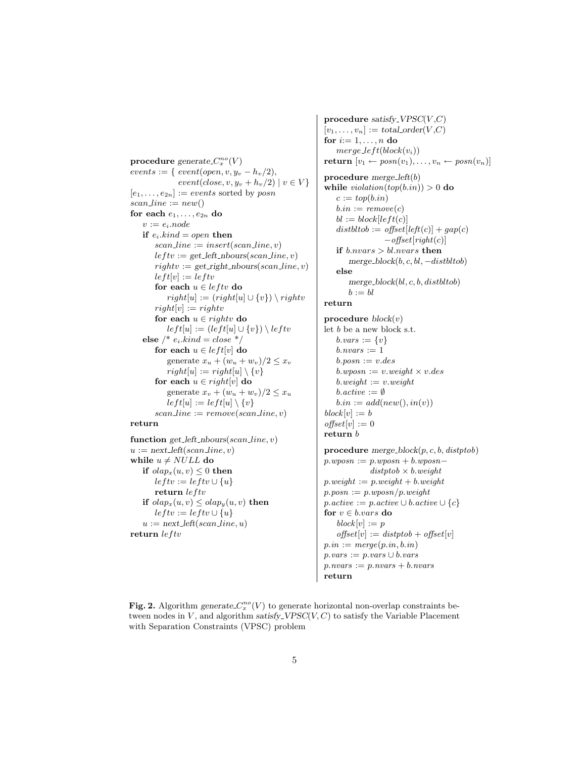$\mathbf{procedure} \ generate \ C_x^{no}(V)$  $events := \{ event(open, v, y_v - h_v/2),$  $event(close, v, y_v + h_v/2) | v \in V$  $[e_1, \ldots, e_{2n}] := events$  sorted by posn  $scan\_line := new()$ for each  $e_1, \ldots, e_{2n}$  do  $v := e_i$ .node if  $e_i.kind = open$  then  $scan\_line := insert(scan\_line, v)$  $left := get\_left\_nbours(scan\_line, v)$  $rightv := get\_right\_nbounds(scan\_line, v)$  $left[v] := leftv$ for each  $u \in \text{left}v$  do  $right[u] := (right[u] \cup \{v\}) \setminus right$  $right[v] := right$ for each  $u \in right$  do  $left[u] := (left[u] \cup \{v\}) \setminus leftv$ else /\*  $e_i.kind = close * /$ for each  $u \in left[v]$  do generate  $x_u + (w_u + w_v)/2 \leq x_v$  $right[u] := right[u] \setminus \{v\}$ for each  $u \in right[v]$  do generate  $x_v + (w_u + w_v)/2 \leq x_u$  $left[u] := left[u] \setminus \{v\}$  $scan\_line := remove(scan\_line, v)$ return

function get left nbours(scan line,  $v$ )  $u := next \text{left}(\text{scan}\text{line}, v)$ while  $u \neq NULL$  do if  $olap_x(u, v) \leq 0$  then  $left := left v \cup \{u\}$ return  $left$ if  $olap_x(u, v) \leq olap_y(u, v)$  then  $left := let tv \cup \{u\}$  $u := next \text{left}(\text{scan}\text{line}, u)$ return  $left$ 

procedure satisfy  $VPSC(V, C)$  $[v_1, \ldots, v_n] := total\_{order}(V, C)$ for  $i=1,\ldots,n$  do  $merge\_left(block(v_i))$ return  $[v_1 \leftarrow posn(v_1), \ldots, v_n \leftarrow posn(v_n)]$ procedure merge left(b) while  $violation(top(b.in)) > 0$  do  $c := top(b.in)$  $b.in := remove(c)$  $bl := block[left(c)]$  $distbltob := offset[left(c)] + gap(c)$  $-\text{offset}[right(c)]$ if  $b.nvars > bl.nvars$  then merge\_block $(b, c, bl, -distbl$ tob) else merge\_block $(bl, c, b, distbl$ tob)  $b := bl$ return procedure  $block(v)$ let  $b$  be a new block s.t.

 $b \cdot vars := \{v\}$  $b.nvars := 1$  $b.posn := v.deg$  $b. wposn := v. weight \times v. des$  $b.weight := v.weight$  $b.active := \emptyset$  $b.in := add(new(), in(v))$  $block[v] := b$  $offset[v] := 0$ return b

procedure merge\_block $(p, c, b, \text{distptob})$  $p. wposn := p. wposn + b. wposn$  $distptob \times b.weight$  $p.weight := p.weight + b.weight$  $p.posn := p.wposn/p.weight$  $p.active := p.active \cup b.active \cup \{c\}$ for  $v \in b.vars$  do  $block[v] := p$  $offset[v] := distptob + offset[v]$  $p.in := merge(p.in, b.in)$  $p \cdot vars := p \cdot vars \cup b \cdot vars$  $p.nvars := p.nvars + b.nvars$ return

Fig. 2. Algorithm generate  $C_x^{no}(V)$  to generate horizontal non-overlap constraints between nodes in  $V$ , and algorithm satisfy VPSC $(V, C)$  to satisfy the Variable Placement with Separation Constraints (VPSC) problem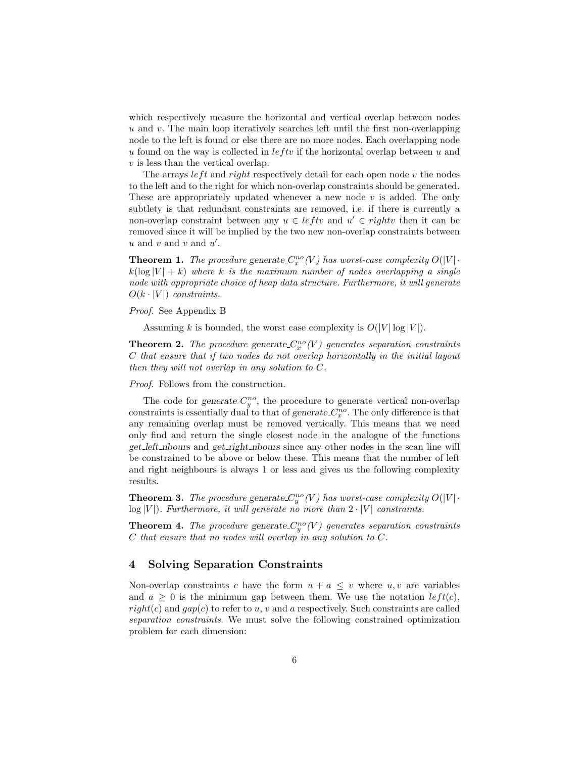which respectively measure the horizontal and vertical overlap between nodes  $u$  and  $v$ . The main loop iteratively searches left until the first non-overlapping node to the left is found or else there are no more nodes. Each overlapping node u found on the way is collected in  $left$  if the horizontal overlap between u and  $v$  is less than the vertical overlap.

The arrays  $left$  and right respectively detail for each open node  $v$  the nodes to the left and to the right for which non-overlap constraints should be generated. These are appropriately updated whenever a new node  $v$  is added. The only subtlety is that redundant constraints are removed, i.e. if there is currently a non-overlap constraint between any  $u \in \ell$  and  $u' \in \ell$  rights then it can be removed since it will be implied by the two new non-overlap constraints between  $u$  and  $v$  and  $u'$ .

**Theorem 1.** The procedure generate  $C_x^{no}(V)$  has worst-case complexity  $O(|V| \cdot )$  $k(\log |V| + k)$  where k is the maximum number of nodes overlapping a single node with appropriate choice of heap data structure. Furthermore, it will generate  $O(k \cdot |V|)$  constraints.

Proof. See Appendix B

Assuming k is bounded, the worst case complexity is  $O(|V| \log |V|)$ .

**Theorem 2.** The procedure generate  $C_x^{no}(V)$  generates separation constraints C that ensure that if two nodes do not overlap horizontally in the initial layout then they will not overlap in any solution to C.

Proof. Follows from the construction.

The code for generate  $C_y^{no}$ , the procedure to generate vertical non-overlap constraints is essentially dual to that of generate  $C_x^{no}$ . The only difference is that any remaining overlap must be removed vertically. This means that we need only find and return the single closest node in the analogue of the functions get left nbours and get right nbours since any other nodes in the scan line will be constrained to be above or below these. This means that the number of left and right neighbours is always 1 or less and gives us the following complexity results.

**Theorem 3.** The procedure generate  $C_y^{no}(V)$  has worst-case complexity  $O(|V| \cdot$  $log |V|$ ). Furthermore, it will generate no more than  $2 \cdot |V|$  constraints.

**Theorem 4.** The procedure generate  $C_y^{no}(V)$  generates separation constraints C that ensure that no nodes will overlap in any solution to C.

#### 4 Solving Separation Constraints

Non-overlap constraints c have the form  $u + a \leq v$  where  $u, v$  are variables and  $a \geq 0$  is the minimum gap between them. We use the notation  $left(c)$ ,  $right(c)$  and  $gap(c)$  to refer to u, v and a respectively. Such constraints are called separation constraints. We must solve the following constrained optimization problem for each dimension: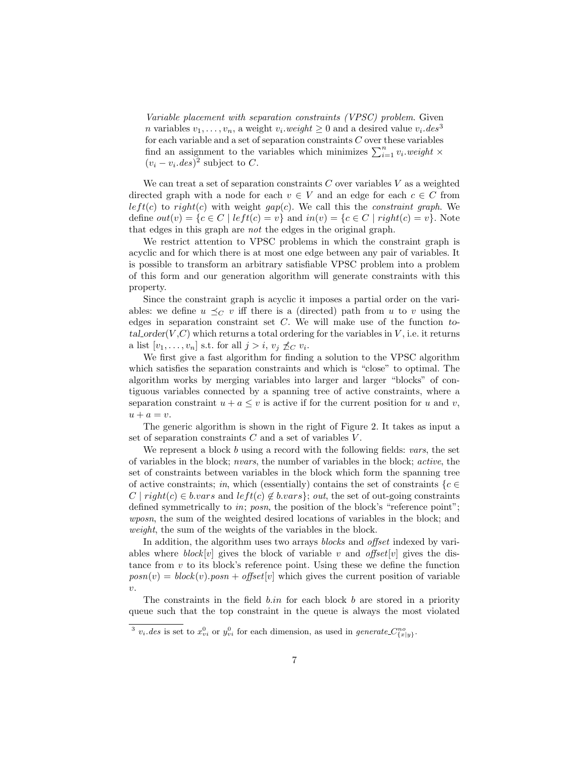Variable placement with separation constraints (VPSC) problem. Given *n* variables  $v_1, \ldots, v_n$ , a weight  $v_i$  *weight*  $\geq 0$  and a desired value  $v_i$  *des*<sup>3</sup> for each variable and a set of separation constraints  $C$  over these variables find an assignment to the variables which minimizes  $\sum_{i=1}^{n} v_i$  weight  $\times$  $(v_i - v_i.deg)^2$  subject to C.

We can treat a set of separation constraints  $C$  over variables  $V$  as a weighted directed graph with a node for each  $v \in V$  and an edge for each  $c \in C$  from  $left(c)$  to right(c) with weight gap(c). We call this the constraint graph. We define  $out(v) = \{c \in C \mid left(c) = v\}$  and  $in(v) = \{c \in C \mid right(c) = v\}$ . Note that edges in this graph are not the edges in the original graph.

We restrict attention to VPSC problems in which the constraint graph is acyclic and for which there is at most one edge between any pair of variables. It is possible to transform an arbitrary satisfiable VPSC problem into a problem of this form and our generation algorithm will generate constraints with this property.

Since the constraint graph is acyclic it imposes a partial order on the variables: we define  $u \preceq_C v$  iff there is a (directed) path from u to v using the edges in separation constraint set  $C$ . We will make use of the function total order $(V, C)$  which returns a total ordering for the variables in V, i.e. it returns a list  $[v_1, \ldots, v_n]$  s.t. for all  $j > i$ ,  $v_j \nleq_C v_i$ .

We first give a fast algorithm for finding a solution to the VPSC algorithm which satisfies the separation constraints and which is "close" to optimal. The algorithm works by merging variables into larger and larger "blocks" of contiguous variables connected by a spanning tree of active constraints, where a separation constraint  $u + a \leq v$  is active if for the current position for u and v,  $u + a = v.$ 

The generic algorithm is shown in the right of Figure 2. It takes as input a set of separation constraints  $C$  and a set of variables  $V$ .

We represent a block b using a record with the following fields:  $vars$ , the set of variables in the block; nvars, the number of variables in the block; active, the set of constraints between variables in the block which form the spanning tree of active constraints; in, which (essentially) contains the set of constraints  ${c \in \mathbb{R}^n}$  $C | right(c) \in b.vars$  and  $left(c) \notin b.vars$ ; out, the set of out-going constraints defined symmetrically to *in; posn*, the position of the block's "reference point"; wposn, the sum of the weighted desired locations of variables in the block; and weight, the sum of the weights of the variables in the block.

In addition, the algorithm uses two arrays *blocks* and *offset* indexed by variables where  $block[v]$  gives the block of variable v and offset [v] gives the distance from  $v$  to its block's reference point. Using these we define the function  $posn(v) = block(v) . posn + offset[v]$  which gives the current position of variable  $\upsilon$ .

The constraints in the field  $b.in$  for each block  $b$  are stored in a priority queue such that the top constraint in the queue is always the most violated

<sup>&</sup>lt;sup>3</sup>  $v_i.$  des is set to  $x_{vi}^0$  or  $y_{vi}^0$  for each dimension, as used in generate  $C_{\{x|y\}}^{no}$ .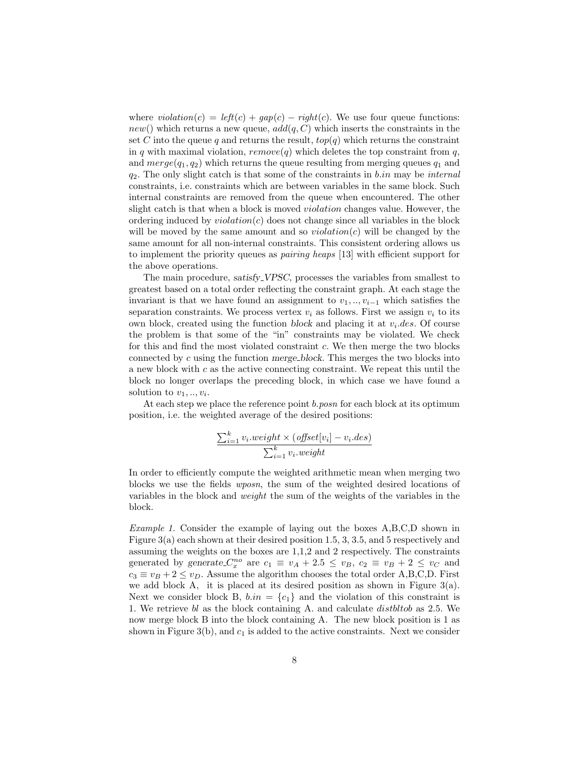where  $violation(c) = left(c) + gap(c) - right(c)$ . We use four queue functions:  $new()$  which returns a new queue,  $add(q, C)$  which inserts the constraints in the set C into the queue q and returns the result,  $top(q)$  which returns the constraint in q with maximal violation,  $remove(q)$  which deletes the top constraint from q, and  $merge(q_1, q_2)$  which returns the queue resulting from merging queues  $q_1$  and  $q_2$ . The only slight catch is that some of the constraints in b.in may be internal constraints, i.e. constraints which are between variables in the same block. Such internal constraints are removed from the queue when encountered. The other slight catch is that when a block is moved *violation* changes value. However, the ordering induced by  $violation(c)$  does not change since all variables in the block will be moved by the same amount and so  $violation(c)$  will be changed by the same amount for all non-internal constraints. This consistent ordering allows us to implement the priority queues as pairing heaps [13] with efficient support for the above operations.

The main procedure, satisfy VPSC, processes the variables from smallest to greatest based on a total order reflecting the constraint graph. At each stage the invariant is that we have found an assignment to  $v_1, \ldots, v_{i-1}$  which satisfies the separation constraints. We process vertex  $v_i$  as follows. First we assign  $v_i$  to its own block, created using the function block and placing it at  $v_i$ . *des.* Of course the problem is that some of the "in" constraints may be violated. We check for this and find the most violated constraint c. We then merge the two blocks connected by c using the function merge block. This merges the two blocks into a new block with c as the active connecting constraint. We repeat this until the block no longer overlaps the preceding block, in which case we have found a solution to  $v_1, \ldots, v_i$ .

At each step we place the reference point *b.posn* for each block at its optimum position, i.e. the weighted average of the desired positions:

$$
\frac{\sum_{i=1}^{k} v_i \cdot weight \times (offset[v_i] - v_i \cdot des)}{\sum_{i=1}^{k} v_i \cdot weight}
$$

In order to efficiently compute the weighted arithmetic mean when merging two blocks we use the fields wposn, the sum of the weighted desired locations of variables in the block and weight the sum of the weights of the variables in the block.

Example 1. Consider the example of laying out the boxes A,B,C,D shown in Figure 3(a) each shown at their desired position 1.5, 3, 3.5, and 5 respectively and assuming the weights on the boxes are 1,1,2 and 2 respectively. The constraints generated by generate  $C_x^{no}$  are  $c_1 \equiv v_A + 2.5 \le v_B$ ,  $c_2 \equiv v_B + 2 \le v_C$  and  $c_3 \equiv v_B + 2 \le v_D$ . Assume the algorithm chooses the total order A,B,C,D. First we add block A, it is placed at its desired position as shown in Figure  $3(a)$ . Next we consider block B,  $b.in = \{c_1\}$  and the violation of this constraint is 1. We retrieve bl as the block containing A. and calculate distbltob as 2.5. We now merge block B into the block containing A. The new block position is 1 as shown in Figure  $3(b)$ , and  $c_1$  is added to the active constraints. Next we consider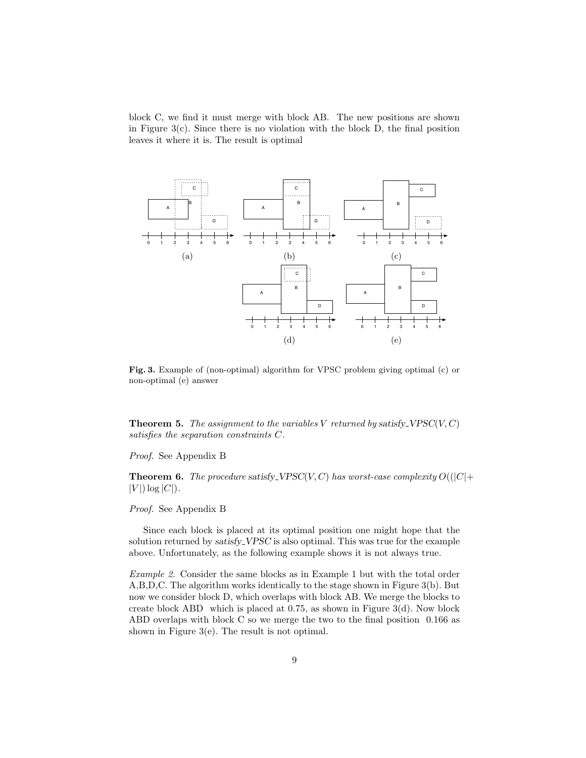block C, we find it must merge with block AB. The new positions are shown in Figure  $3(c)$ . Since there is no violation with the block D, the final position leaves it where it is. The result is optimal



Fig. 3. Example of (non-optimal) algorithm for VPSC problem giving optimal (c) or non-optimal (e) answer

**Theorem 5.** The assignment to the variables V returned by satisfy VPSC(V, C) satisfies the separation constraints C.

#### Proof. See Appendix B

**Theorem 6.** The procedure satisfy VPSC(V, C) has worst-case complexity  $O(|C|+$  $|V|$ ) log  $|C|$ ).

#### Proof. See Appendix B

Since each block is placed at its optimal position one might hope that the solution returned by satisfy\_VPSC is also optimal. This was true for the example above. Unfortunately, as the following example shows it is not always true.

Example 2. Consider the same blocks as in Example 1 but with the total order A,B,D,C. The algorithm works identically to the stage shown in Figure 3(b). But now we consider block D, which overlaps with block AB. We merge the blocks to create block ABD which is placed at  $0.75$ , as shown in Figure  $3(d)$ . Now block ABD overlaps with block C so we merge the two to the final position 0.166 as shown in Figure 3(e). The result is not optimal.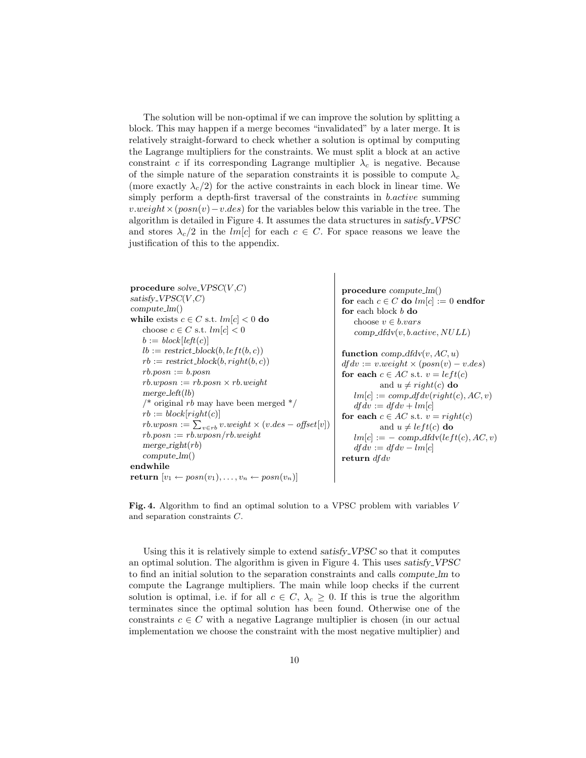The solution will be non-optimal if we can improve the solution by splitting a block. This may happen if a merge becomes "invalidated" by a later merge. It is relatively straight-forward to check whether a solution is optimal by computing the Lagrange multipliers for the constraints. We must split a block at an active constraint c if its corresponding Lagrange multiplier  $\lambda_c$  is negative. Because of the simple nature of the separation constraints it is possible to compute  $\lambda_c$ (more exactly  $\lambda_c/2$ ) for the active constraints in each block in linear time. We simply perform a depth-first traversal of the constraints in *b.active* summing  $v.weight \times (posn(v) - v.des)$  for the variables below this variable in the tree. The algorithm is detailed in Figure 4. It assumes the data structures in satisfy VPSC and stores  $\lambda_c/2$  in the lm[c] for each  $c \in C$ . For space reasons we leave the justification of this to the appendix.

procedure solve VPSC $(V, C)$  $satisfy_VPSC(V, C)$ compute lm() while exists  $c \in C$  s.t.  $lm[c] < 0$  do choose  $c \in C$  s.t.  $lm[c] < 0$  $b := block[left(c)]$  $lb := \text{restrict\_block}(b, left(b, c))$  $rb := \text{restrict\_block}(b, right(b, c))$  $rb.posn := b.posn$  $rb. wposn := rb. posn \times rb. weight$  $merge\_left(lb)$  $\frac{1}{2}$  original rb may have been merged  $\frac{1}{2}$  $rb := block[right(c)]$  $rb. w posn := \sum_{v \in rb} v. weight \times (v. des - offset[v])$  $rb.posn := rb.wposn/rb.weight$  $merge\_right(rb)$ compute lm() endwhile return  $[v_1 \leftarrow posn(v_1), \ldots, v_n \leftarrow posn(v_n)]$ procedure compute lm() for each  $c \in C$  do  $lm[c] := 0$  endfor for each block b do choose  $v \in b.vars$  $comp\_dfdv(v, b.active, NULL)$ function comp\_dfdv(v,  $AC$ , u)  $df dv := v.weight \times (posn(v) - v.des)$ for each  $c \in AC$  s.t.  $v = left(c)$ and  $u \neq right(c)$  do  $lm[c] := comp\_df dv(right(c), AC, v)$  $df dv := df dv + lm[c]$ for each  $c \in AC$  s.t.  $v = right(c)$ and  $u \neq left(c)$  do  $lm[c] := -\text{ comp\_dfd}v(left(c), AC, v)$  $df dv := df dv - lm[c]$ return df dv

Fig. 4. Algorithm to find an optimal solution to a VPSC problem with variables V and separation constraints C.

Using this it is relatively simple to extend satisfy VPSC so that it computes an optimal solution. The algorithm is given in Figure 4. This uses satisfy VPSC to find an initial solution to the separation constraints and calls compute lm to compute the Lagrange multipliers. The main while loop checks if the current solution is optimal, i.e. if for all  $c \in C$ ,  $\lambda_c \geq 0$ . If this is true the algorithm terminates since the optimal solution has been found. Otherwise one of the constraints  $c \in C$  with a negative Lagrange multiplier is chosen (in our actual implementation we choose the constraint with the most negative multiplier) and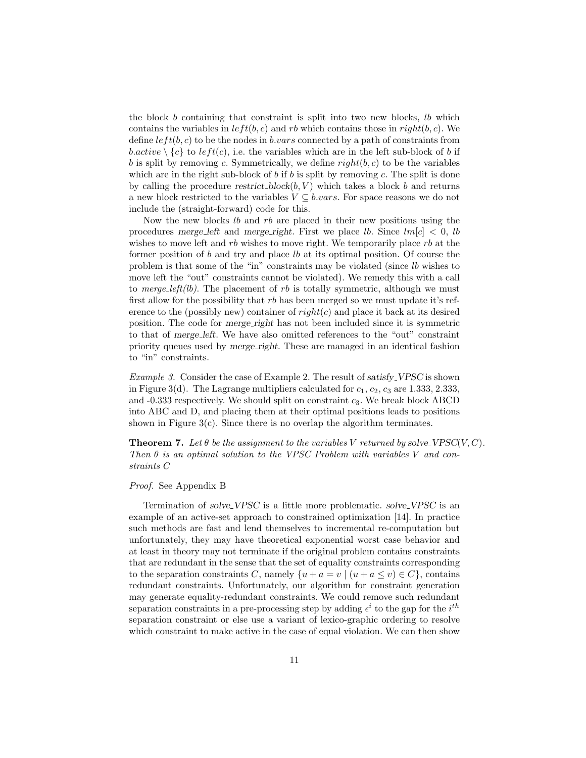the block  $b$  containing that constraint is split into two new blocks,  $lb$  which contains the variables in  $left(b, c\right)$  and rb which contains those in right $(b, c)$ . We define  $left(b, c)$  to be the nodes in b.vars connected by a path of constraints from b.active  $\setminus \{c\}$  to left(c), i.e. the variables which are in the left sub-block of b if b is split by removing c. Symmetrically, we define  $right(b, c)$  to be the variables which are in the right sub-block of b if b is split by removing c. The split is done by calling the procedure restrict block $(b, V)$  which takes a block b and returns a new block restricted to the variables  $V \subseteq b \cdot vars$ . For space reasons we do not include the (straight-forward) code for this.

Now the new blocks lb and rb are placed in their new positions using the procedures merge\_left and merge\_right. First we place *lb*. Since  $lm[c] < 0$ , *lb* wishes to move left and  $rb$  wishes to move right. We temporarily place  $rb$  at the former position of b and try and place lb at its optimal position. Of course the problem is that some of the "in" constraints may be violated (since lb wishes to move left the "out" constraints cannot be violated). We remedy this with a call to *merge-left(lb)*. The placement of rb is totally symmetric, although we must first allow for the possibility that  $rb$  has been merged so we must update it's reference to the (possibly new) container of  $right(c)$  and place it back at its desired position. The code for merge right has not been included since it is symmetric to that of merge left. We have also omitted references to the "out" constraint priority queues used by merge right. These are managed in an identical fashion to "in" constraints.

Example 3. Consider the case of Example 2. The result of satisfy VPSC is shown in Figure 3(d). The Lagrange multipliers calculated for  $c_1, c_2, c_3$  are 1.333, 2.333, and  $-0.333$  respectively. We should split on constraint  $c_3$ . We break block ABCD into ABC and D, and placing them at their optimal positions leads to positions shown in Figure  $3(c)$ . Since there is no overlap the algorithm terminates.

**Theorem 7.** Let  $\theta$  be the assignment to the variables V returned by solve VPSC(V, C). Then  $\theta$  is an optimal solution to the VPSC Problem with variables V and constraints C

#### Proof. See Appendix B

Termination of solve VPSC is a little more problematic. solve VPSC is an example of an active-set approach to constrained optimization [14]. In practice such methods are fast and lend themselves to incremental re-computation but unfortunately, they may have theoretical exponential worst case behavior and at least in theory may not terminate if the original problem contains constraints that are redundant in the sense that the set of equality constraints corresponding to the separation constraints C, namely  $\{u + a = v \mid (u + a \le v) \in C\}$ , contains redundant constraints. Unfortunately, our algorithm for constraint generation may generate equality-redundant constraints. We could remove such redundant separation constraints in a pre-processing step by adding  $\epsilon^i$  to the gap for the  $i^{th}$ separation constraint or else use a variant of lexico-graphic ordering to resolve which constraint to make active in the case of equal violation. We can then show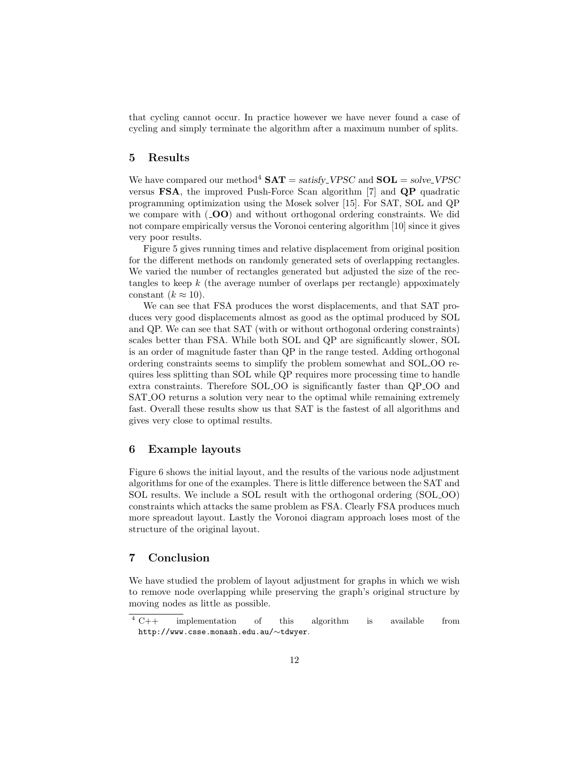that cycling cannot occur. In practice however we have never found a case of cycling and simply terminate the algorithm after a maximum number of splits.

## 5 Results

We have compared our method<sup>4</sup>  $SAT = satisfy_VPSC$  and  $SOL = solve_VPSC$ versus FSA, the improved Push-Force Scan algorithm [7] and QP quadratic programming optimization using the Mosek solver [15]. For SAT, SOL and QP we compare with  $($ **OO** $)$  and without orthogonal ordering constraints. We did not compare empirically versus the Voronoi centering algorithm [10] since it gives very poor results.

Figure 5 gives running times and relative displacement from original position for the different methods on randomly generated sets of overlapping rectangles. We varied the number of rectangles generated but adjusted the size of the rectangles to keep  $k$  (the average number of overlaps per rectangle) appoximately constant  $(k \approx 10)$ .

We can see that FSA produces the worst displacements, and that SAT produces very good displacements almost as good as the optimal produced by SOL and QP. We can see that SAT (with or without orthogonal ordering constraints) scales better than FSA. While both SOL and QP are significantly slower, SOL is an order of magnitude faster than QP in the range tested. Adding orthogonal ordering constraints seems to simplify the problem somewhat and SOL OO requires less splitting than SOL while QP requires more processing time to handle extra constraints. Therefore SOL OO is significantly faster than QP OO and SAT OO returns a solution very near to the optimal while remaining extremely fast. Overall these results show us that SAT is the fastest of all algorithms and gives very close to optimal results.

#### 6 Example layouts

Figure 6 shows the initial layout, and the results of the various node adjustment algorithms for one of the examples. There is little difference between the SAT and SOL results. We include a SOL result with the orthogonal ordering (SOL OO) constraints which attacks the same problem as FSA. Clearly FSA produces much more spreadout layout. Lastly the Voronoi diagram approach loses most of the structure of the original layout.

## 7 Conclusion

We have studied the problem of layout adjustment for graphs in which we wish to remove node overlapping while preserving the graph's original structure by moving nodes as little as possible.

 $\frac{4}{4}C++$  implementation of this algorithm is available from http://www.csse.monash.edu.au/∼tdwyer.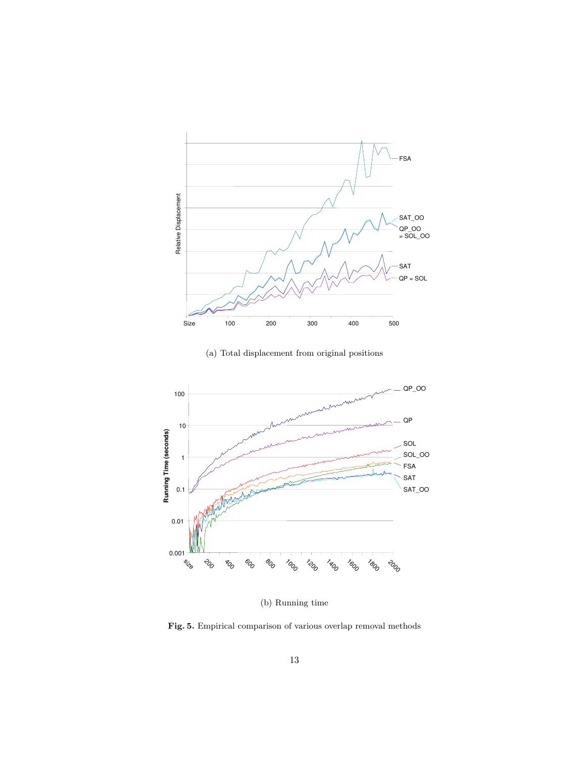

(a) Total displacement from original positions



(b) Running time

Fig. 5. Empirical comparison of various overlap removal methods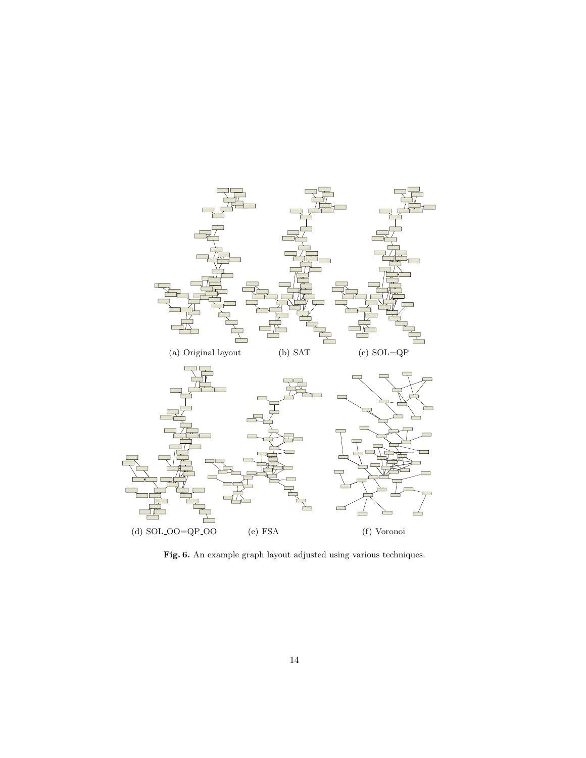

Fig. 6. An example graph layout adjusted using various techniques.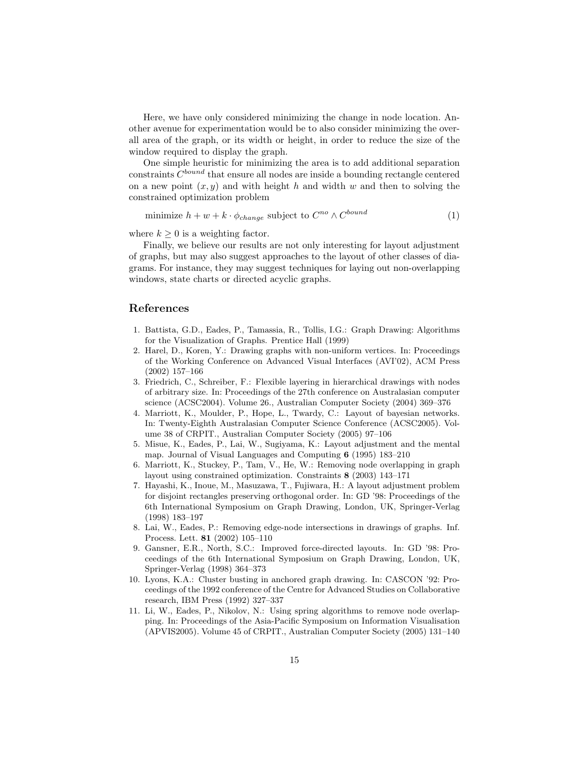Here, we have only considered minimizing the change in node location. Another avenue for experimentation would be to also consider minimizing the overall area of the graph, or its width or height, in order to reduce the size of the window required to display the graph.

One simple heuristic for minimizing the area is to add additional separation constraints  $C^{bound}$  that ensure all nodes are inside a bounding rectangle centered on a new point  $(x, y)$  and with height h and width w and then to solving the constrained optimization problem

minimize 
$$
h + w + k \cdot \phi_{change}
$$
 subject to  $C^{no} \wedge C^{bound}$  (1)

where  $k \geq 0$  is a weighting factor.

Finally, we believe our results are not only interesting for layout adjustment of graphs, but may also suggest approaches to the layout of other classes of diagrams. For instance, they may suggest techniques for laying out non-overlapping windows, state charts or directed acyclic graphs.

# References

- 1. Battista, G.D., Eades, P., Tamassia, R., Tollis, I.G.: Graph Drawing: Algorithms for the Visualization of Graphs. Prentice Hall (1999)
- 2. Harel, D., Koren, Y.: Drawing graphs with non-uniform vertices. In: Proceedings of the Working Conference on Advanced Visual Interfaces (AVI'02), ACM Press (2002) 157–166
- 3. Friedrich, C., Schreiber, F.: Flexible layering in hierarchical drawings with nodes of arbitrary size. In: Proceedings of the 27th conference on Australasian computer science (ACSC2004). Volume 26., Australian Computer Society (2004) 369–376
- 4. Marriott, K., Moulder, P., Hope, L., Twardy, C.: Layout of bayesian networks. In: Twenty-Eighth Australasian Computer Science Conference (ACSC2005). Volume 38 of CRPIT., Australian Computer Society (2005) 97–106
- 5. Misue, K., Eades, P., Lai, W., Sugiyama, K.: Layout adjustment and the mental map. Journal of Visual Languages and Computing 6 (1995) 183–210
- 6. Marriott, K., Stuckey, P., Tam, V., He, W.: Removing node overlapping in graph layout using constrained optimization. Constraints 8 (2003) 143–171
- 7. Hayashi, K., Inoue, M., Masuzawa, T., Fujiwara, H.: A layout adjustment problem for disjoint rectangles preserving orthogonal order. In: GD '98: Proceedings of the 6th International Symposium on Graph Drawing, London, UK, Springer-Verlag (1998) 183–197
- 8. Lai, W., Eades, P.: Removing edge-node intersections in drawings of graphs. Inf. Process. Lett. 81 (2002) 105–110
- 9. Gansner, E.R., North, S.C.: Improved force-directed layouts. In: GD '98: Proceedings of the 6th International Symposium on Graph Drawing, London, UK, Springer-Verlag (1998) 364–373
- 10. Lyons, K.A.: Cluster busting in anchored graph drawing. In: CASCON '92: Proceedings of the 1992 conference of the Centre for Advanced Studies on Collaborative research, IBM Press (1992) 327–337
- 11. Li, W., Eades, P., Nikolov, N.: Using spring algorithms to remove node overlapping. In: Proceedings of the Asia-Pacific Symposium on Information Visualisation (APVIS2005). Volume 45 of CRPIT., Australian Computer Society (2005) 131–140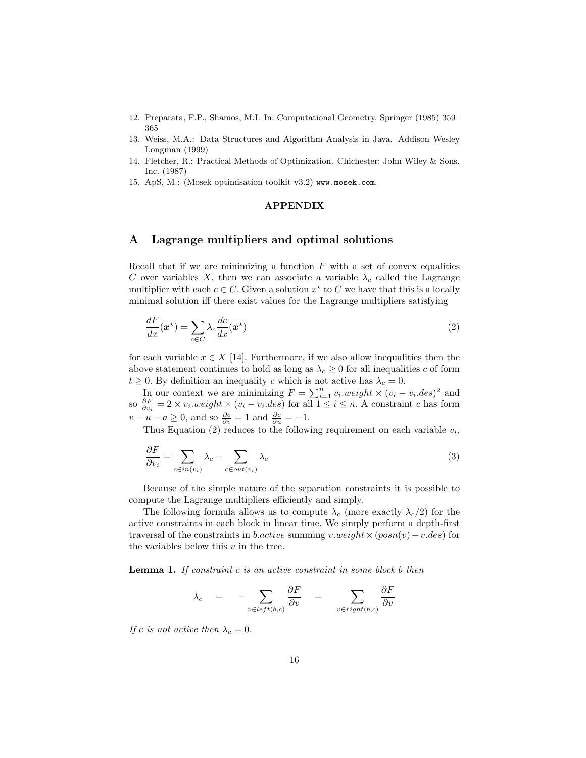- 12. Preparata, F.P., Shamos, M.I. In: Computational Geometry. Springer (1985) 359– 365
- 13. Weiss, M.A.: Data Structures and Algorithm Analysis in Java. Addison Wesley Longman (1999)
- 14. Fletcher, R.: Practical Methods of Optimization. Chichester: John Wiley & Sons, Inc. (1987)
- 15. ApS, M.: (Mosek optimisation toolkit v3.2) www.mosek.com.

## APPENDIX

# A Lagrange multipliers and optimal solutions

Recall that if we are minimizing a function  $F$  with a set of convex equalities C over variables X, then we can associate a variable  $\lambda_c$  called the Lagrange multiplier with each  $c \in C$ . Given a solution  $x^*$  to C we have that this is a locally minimal solution iff there exist values for the Lagrange multipliers satisfying

$$
\frac{dF}{dx}(\boldsymbol{x}^{\star}) = \sum_{c \in C} \lambda_c \frac{dc}{dx}(\boldsymbol{x}^{\star})
$$
\n(2)

for each variable  $x \in X$  [14]. Furthermore, if we also allow inequalities then the above statement continues to hold as long as  $\lambda_c \geq 0$  for all inequalities c of form  $t \geq 0$ . By definition an inequality c which is not active has  $\lambda_c = 0$ .

In our context we are minimizing  $F = \sum_{i=1}^{n} v_i \cdot weight \times (v_i - v_i \cdot des)^2$  and so  $\frac{\partial F}{\partial v_i} = 2 \times v_i \cdot weight \times (v_i - v_i \cdot des)$  for all  $1 \le i \le n$ . A constraint c has form  $v - u - a \geq 0$ , and so  $\frac{\partial c}{\partial v} = 1$  and  $\frac{\partial c}{\partial u} = -1$ .

Thus Equation (2) reduces to the following requirement on each variable  $v_i$ ,

$$
\frac{\partial F}{\partial v_i} = \sum_{c \in in(v_i)} \lambda_c - \sum_{c \in out(v_i)} \lambda_c \tag{3}
$$

Because of the simple nature of the separation constraints it is possible to compute the Lagrange multipliers efficiently and simply.

The following formula allows us to compute  $\lambda_c$  (more exactly  $\lambda_c/2$ ) for the active constraints in each block in linear time. We simply perform a depth-first traversal of the constraints in b.active summing v.weight  $\times$  (posn(v) – v.des) for the variables below this  $v$  in the tree.

**Lemma 1.** If constraint c is an active constraint in some block b then

$$
\lambda_c = - \sum_{v \in left(b,c)} \frac{\partial F}{\partial v} = \sum_{v \in right(b,c)} \frac{\partial F}{\partial v}
$$

If c is not active then  $\lambda_c = 0$ .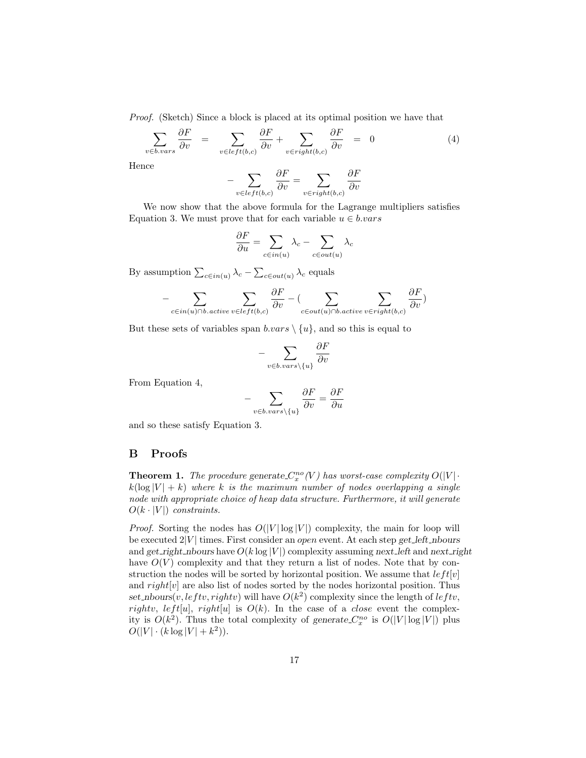Proof. (Sketch) Since a block is placed at its optimal position we have that

$$
\sum_{v \in b.vars} \frac{\partial F}{\partial v} = \sum_{v \in left(b,c)} \frac{\partial F}{\partial v} + \sum_{v \in right(b,c)} \frac{\partial F}{\partial v} = 0 \tag{4}
$$

Hence

$$
-\sum_{v \in left(b,c)} \frac{\partial F}{\partial v} = \sum_{v \in right(b,c)} \frac{\partial F}{\partial v}
$$

We now show that the above formula for the Lagrange multipliers satisfies Equation 3. We must prove that for each variable  $u \in b \cdot vars$ 

$$
\frac{\partial F}{\partial u} = \sum_{c \in in(u)} \lambda_c - \sum_{c \in out(u)} \lambda_c
$$

By assumption  $\sum_{c \in in(u)} \lambda_c - \sum_{c \in out(u)} \lambda_c$  equals

$$
-\sum_{c \in in(u) \cap b. \text{active } v \in left(b,c)} \frac{\partial F}{\partial v} - (\sum_{c \in out(u) \cap b. \text{active } v \in right(b,c)} \frac{\partial F}{\partial v})
$$

But these sets of variables span  $b \cdot vars \setminus \{u\}$ , and so this is equal to

$$
-\sum_{v \in b \text{.vars}\setminus\{u\}} \frac{\partial F}{\partial v}
$$

From Equation 4,

$$
-\sum_{v \in b.vars \setminus \{u\}} \frac{\partial F}{\partial v} = \frac{\partial F}{\partial u}
$$

and so these satisfy Equation 3.

## B Proofs

**Theorem 1.** The procedure generate  $C_x^{no}(V)$  has worst-case complexity  $O(|V| \cdot )$  $k(\log |V| + k)$  where k is the maximum number of nodes overlapping a single node with appropriate choice of heap data structure. Furthermore, it will generate  $O(k \cdot |V|)$  constraints.

*Proof.* Sorting the nodes has  $O(|V| \log |V|)$  complexity, the main for loop will be executed  $2|V|$  times. First consider an open event. At each step get left nbours and get right nbours have  $O(k \log |V|)$  complexity assuming next left and next right have  $O(V)$  complexity and that they return a list of nodes. Note that by construction the nodes will be sorted by horizontal position. We assume that  $left[ v | v \right]$ and  $right[v]$  are also list of nodes sorted by the nodes horizontal position. Thus set\_nbours(v, leftv, rightv) will have  $O(k^2)$  complexity since the length of leftv, rightv, left[u], right[u] is  $O(k)$ . In the case of a *close* event the complexity is  $O(k^2)$ . Thus the total complexity of generate  $C_x^{no}$  is  $O(|V|\log|V|)$  plus  $O(|V| \cdot (k \log |V| + k^2)).$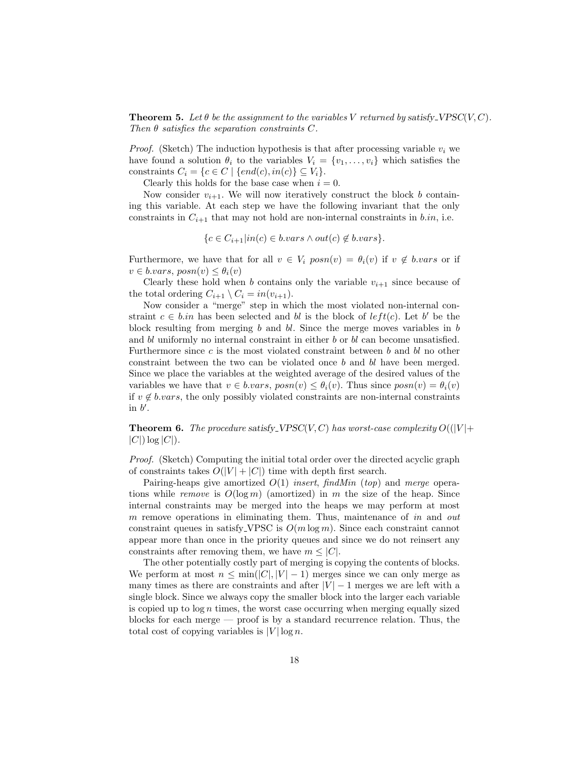**Theorem 5.** Let  $\theta$  be the assignment to the variables V returned by satisfy VPSC(V, C). Then  $\theta$  satisfies the separation constraints C.

*Proof.* (Sketch) The induction hypothesis is that after processing variable  $v_i$  we have found a solution  $\theta_i$  to the variables  $V_i = \{v_1, \ldots, v_i\}$  which satisfies the constraints  $C_i = \{c \in C \mid \{end(c), in(c)\} \subseteq V_i\}.$ 

Clearly this holds for the base case when  $i = 0$ .

Now consider  $v_{i+1}$ . We will now iteratively construct the block b containing this variable. At each step we have the following invariant that the only constraints in  $C_{i+1}$  that may not hold are non-internal constraints in b.in, i.e.

 ${c \in C_{i+1}|in(c) \in b.vars \wedge out(c) \notin b.vars}.$ 

Furthermore, we have that for all  $v \in V_i$  posn $(v) = \theta_i(v)$  if  $v \notin b \cdot vars$  or if  $v \in b.vars, posn(v) \leq \theta_i(v)$ 

Clearly these hold when b contains only the variable  $v_{i+1}$  since because of the total ordering  $C_{i+1} \setminus C_i = in(v_{i+1}).$ 

Now consider a "merge" step in which the most violated non-internal constraint  $c \in b.in$  has been selected and bl is the block of  $left(c)$ . Let b' be the block resulting from merging b and bl. Since the merge moves variables in b and  $bl$  uniformly no internal constraint in either  $b$  or  $bl$  can become unsatisfied. Furthermore since c is the most violated constraint between b and bl no other constraint between the two can be violated once b and bl have been merged. Since we place the variables at the weighted average of the desired values of the variables we have that  $v \in b \cdot vars$ ,  $posn(v) \leq \theta_i(v)$ . Thus since  $posn(v) = \theta_i(v)$ if  $v \notin b \text{.}vars$ , the only possibly violated constraints are non-internal constraints in  $b'$ .

**Theorem 6.** The procedure satisfy VPSC(V, C) has worst-case complexity  $O((|V| +$  $|C|$ )  $\log |C|$ ).

Proof. (Sketch) Computing the initial total order over the directed acyclic graph of constraints takes  $O(|V| + |C|)$  time with depth first search.

Pairing-heaps give amortized  $O(1)$  insert, findMin (top) and merge operations while remove is  $O(\log m)$  (amortized) in m the size of the heap. Since internal constraints may be merged into the heaps we may perform at most m remove operations in eliminating them. Thus, maintenance of in and out constraint queues in satisfy VPSC is  $O(m \log m)$ . Since each constraint cannot appear more than once in the priority queues and since we do not reinsert any constraints after removing them, we have  $m \leq |C|$ .

The other potentially costly part of merging is copying the contents of blocks. We perform at most  $n \leq \min(|C|, |V| - 1)$  merges since we can only merge as many times as there are constraints and after  $|V| - 1$  merges we are left with a single block. Since we always copy the smaller block into the larger each variable is copied up to  $\log n$  times, the worst case occurring when merging equally sized blocks for each merge — proof is by a standard recurrence relation. Thus, the total cost of copying variables is  $|V| \log n$ .